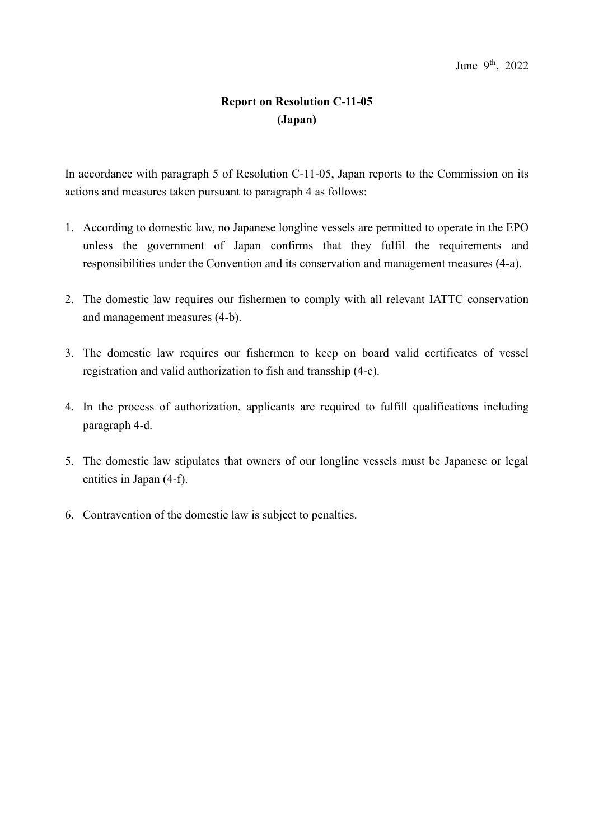- 1. According to domestic law, no Japanese longline vessels are permitted to operate in the EPO unless the government of Japan confirms that they fulfil the requirements and responsibilities under the Convention and its conservation and management measures (4-a).
- 2. The domestic law requires our fishermen to comply with all relevant IATTC conservation and management measures (4-b).
- 3. The domestic law requires our fishermen to keep on board valid certificates of vessel registration and valid authorization to fish and transship (4-c).
- 4. In the process of authorization, applicants are required to fulfill qualifications including paragraph 4-d.
- 5. The domestic law stipulates that owners of our longline vessels must be Japanese or legal entities in Japan (4-f).
- 6. Contravention of the domestic law is subject to penalties.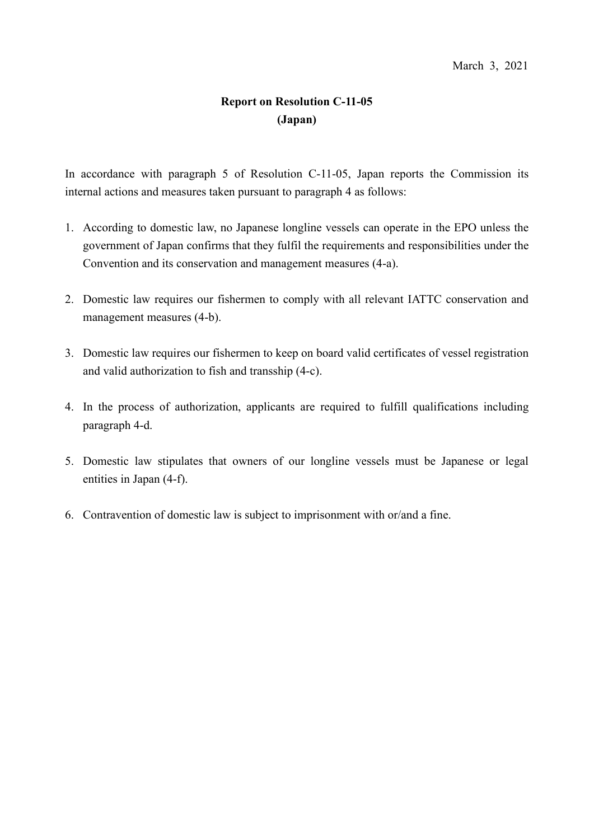- 1. According to domestic law, no Japanese longline vessels can operate in the EPO unless the government of Japan confirms that they fulfil the requirements and responsibilities under the Convention and its conservation and management measures (4-a).
- 2. Domestic law requires our fishermen to comply with all relevant IATTC conservation and management measures (4-b).
- 3. Domestic law requires our fishermen to keep on board valid certificates of vessel registration and valid authorization to fish and transship (4-c).
- 4. In the process of authorization, applicants are required to fulfill qualifications including paragraph 4-d.
- 5. Domestic law stipulates that owners of our longline vessels must be Japanese or legal entities in Japan (4-f).
- 6. Contravention of domestic law is subject to imprisonment with or/and a fine.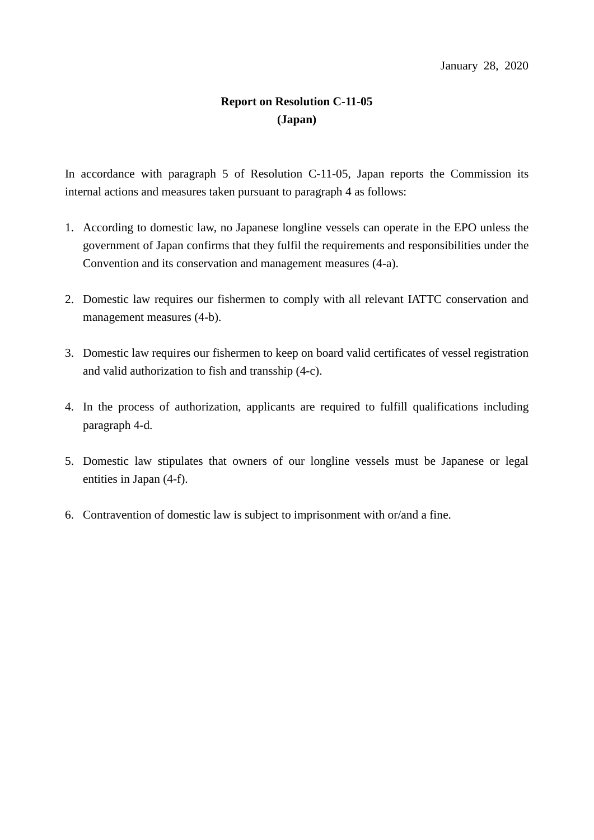- 1. According to domestic law, no Japanese longline vessels can operate in the EPO unless the government of Japan confirms that they fulfil the requirements and responsibilities under the Convention and its conservation and management measures (4-a).
- 2. Domestic law requires our fishermen to comply with all relevant IATTC conservation and management measures (4-b).
- 3. Domestic law requires our fishermen to keep on board valid certificates of vessel registration and valid authorization to fish and transship (4-c).
- 4. In the process of authorization, applicants are required to fulfill qualifications including paragraph 4-d.
- 5. Domestic law stipulates that owners of our longline vessels must be Japanese or legal entities in Japan (4-f).
- 6. Contravention of domestic law is subject to imprisonment with or/and a fine.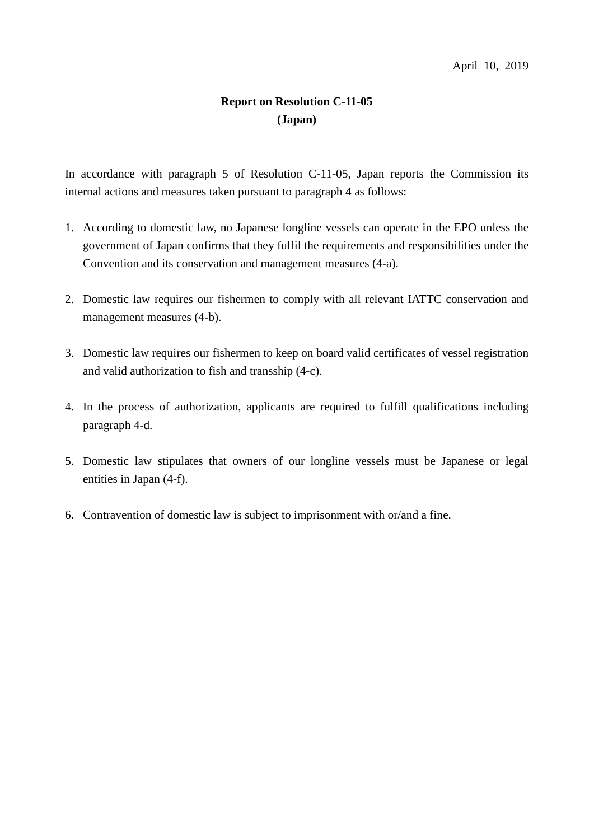- 1. According to domestic law, no Japanese longline vessels can operate in the EPO unless the government of Japan confirms that they fulfil the requirements and responsibilities under the Convention and its conservation and management measures (4-a).
- 2. Domestic law requires our fishermen to comply with all relevant IATTC conservation and management measures (4-b).
- 3. Domestic law requires our fishermen to keep on board valid certificates of vessel registration and valid authorization to fish and transship (4-c).
- 4. In the process of authorization, applicants are required to fulfill qualifications including paragraph 4-d.
- 5. Domestic law stipulates that owners of our longline vessels must be Japanese or legal entities in Japan (4-f).
- 6. Contravention of domestic law is subject to imprisonment with or/and a fine.